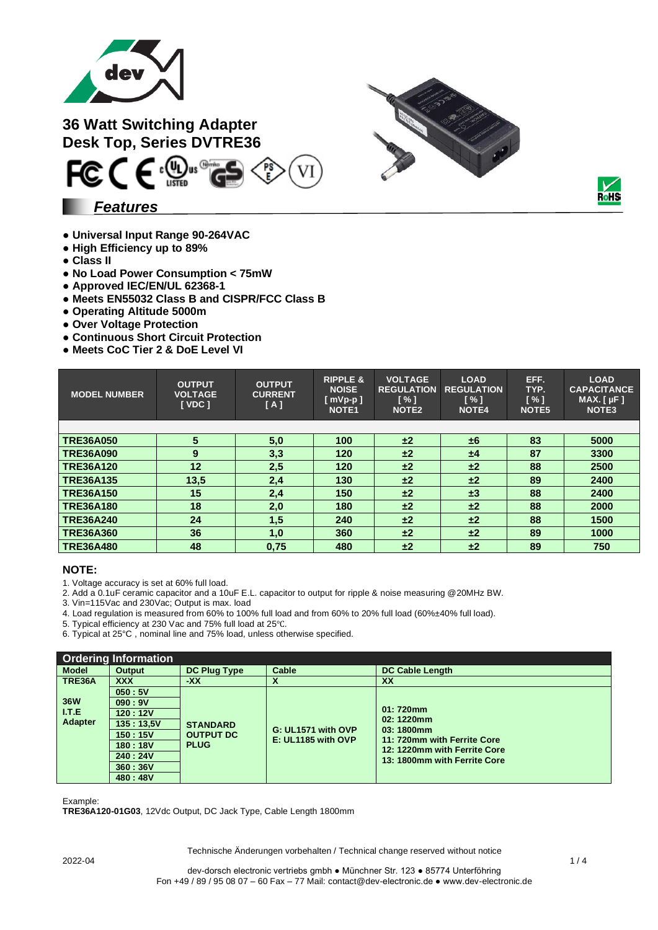

**36 Watt Switching Adapter Desk Top, Series DVTRE36**



### *Features*

- **Universal Input Range 90-264VAC**
- **● High Efficiency up to 89%**
- **● Class II**
- **● No Load Power Consumption < 75mW**
- **● Approved IEC/EN/UL 62368-1**
- **● Meets EN55032 Class B and CISPR/FCC Class B**
- **● Operating Altitude 5000m**
- **● Over Voltage Protection**
- **● Continuous Short Circuit Protection**
- **● Meets CoC Tier 2 & DoE Level VI**

| <b>MODEL NUMBER</b> | <b>OUTPUT</b><br><b>VOLTAGE</b><br><b>I</b> VDC 1 | <b>OUTPUT</b><br><b>CURRENT</b><br>[A] | <b>RIPPLE &amp;</b><br><b>NOISE</b><br>$[$ mVp-p $]$<br><b>NOTE1</b> | <b>VOLTAGE</b><br><b>REGULATION</b><br>[%]<br>NOTE <sub>2</sub> | <b>LOAD</b><br><b>REGULATION</b><br>[%]<br><b>NOTE4</b> | EFF.<br>TYP.<br>[%]<br>NOTE <sub>5</sub> | <b>LOAD</b><br><b>CAPACITANCE</b><br>MAX. $[ \mu F ]$<br><b>NOTE3</b> |
|---------------------|---------------------------------------------------|----------------------------------------|----------------------------------------------------------------------|-----------------------------------------------------------------|---------------------------------------------------------|------------------------------------------|-----------------------------------------------------------------------|
|                     |                                                   |                                        |                                                                      |                                                                 |                                                         |                                          |                                                                       |
| <b>TRE36A050</b>    | 5                                                 | 5.0                                    | 100                                                                  | ±2                                                              | ±6                                                      | 83                                       | 5000                                                                  |
| <b>TRE36A090</b>    | 9                                                 | 3,3                                    | 120                                                                  | ±2                                                              | ±4                                                      | 87                                       | 3300                                                                  |
| <b>TRE36A120</b>    | 12                                                | 2,5                                    | 120                                                                  | ±2                                                              | ±2                                                      | 88                                       | 2500                                                                  |
| <b>TRE36A135</b>    | 13,5                                              | 2,4                                    | 130                                                                  | ±2                                                              | ±2                                                      | 89                                       | 2400                                                                  |
| <b>TRE36A150</b>    | 15                                                | 2,4                                    | 150                                                                  | ±2                                                              | $\pm 3$                                                 | 88                                       | 2400                                                                  |
| <b>TRE36A180</b>    | 18                                                | 2,0                                    | 180                                                                  | ±2                                                              | ±2                                                      | 88                                       | 2000                                                                  |
| <b>TRE36A240</b>    | 24                                                | 1,5                                    | 240                                                                  | ±2                                                              | ±2                                                      | 88                                       | 1500                                                                  |
| <b>TRE36A360</b>    | 36                                                | 1,0                                    | 360                                                                  | ±2                                                              | ±2                                                      | 89                                       | 1000                                                                  |
| <b>TRE36A480</b>    | 48                                                | 0,75                                   | 480                                                                  | ±2                                                              | ±2                                                      | 89                                       | 750                                                                   |

#### **NOTE:**

1. Voltage accuracy is set at 60% full load.

2. Add a 0.1uF ceramic capacitor and a 10uF E.L. capacitor to output for ripple & noise measuring @20MHz BW.

3. Vin=115Vac and 230Vac; Output is max. load

4. Load regulation is measured from 60% to 100% full load and from 60% to 20% full load (60%±40% full load).

5. Typical efficiency at 230 Vac and 75% full load at 25℃.

6. Typical at 25°C , nominal line and 75% load, unless otherwise specified.

|                                            | <b>Ordering Information</b> |                                                    |                                          |                                                                                                                                      |  |
|--------------------------------------------|-----------------------------|----------------------------------------------------|------------------------------------------|--------------------------------------------------------------------------------------------------------------------------------------|--|
| <b>Model</b>                               | <b>Output</b>               | <b>DC Plug Type</b>                                | Cable                                    | <b>DC Cable Length</b>                                                                                                               |  |
| TRE36A                                     | <b>XXX</b>                  | $-XX$                                              |                                          | XX                                                                                                                                   |  |
|                                            | 050:5V                      |                                                    |                                          |                                                                                                                                      |  |
| <b>36W</b><br><b>ITE</b><br><b>Adapter</b> | 090:9V                      | <b>STANDARD</b><br><b>OUTPUT DC</b><br><b>PLUG</b> | G: UL1571 with OVP<br>E: UL1185 with OVP | $01:720$ mm<br>02:1220mm<br>03:1800mm<br>11: 720mm with Ferrite Core<br>12: 1220mm with Ferrite Core<br>13: 1800mm with Ferrite Core |  |
|                                            | 120:12V                     |                                                    |                                          |                                                                                                                                      |  |
|                                            | 135:13.5V                   |                                                    |                                          |                                                                                                                                      |  |
|                                            | 150:15V                     |                                                    |                                          |                                                                                                                                      |  |
|                                            | 180:18V                     |                                                    |                                          |                                                                                                                                      |  |
|                                            | 240:24V                     |                                                    |                                          |                                                                                                                                      |  |
|                                            | 360:36V                     |                                                    |                                          |                                                                                                                                      |  |
|                                            | 480:48V                     |                                                    |                                          |                                                                                                                                      |  |

Example:

**TRE36A120-01G03**, 12Vdc Output, DC Jack Type, Cable Length 1800mm

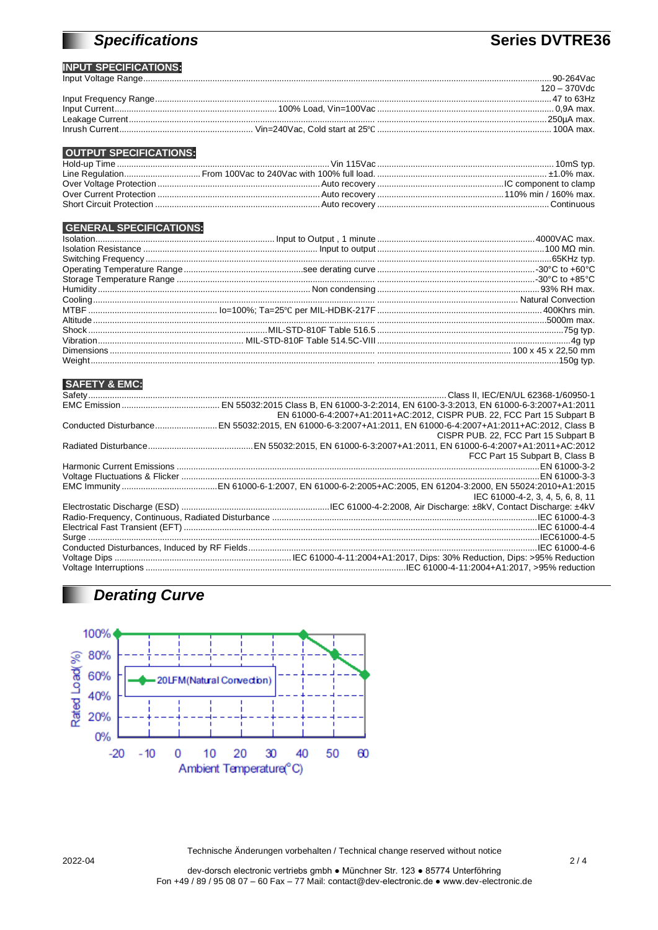# **Specifications**

### Series DVTRE36

#### **INPUT SPECIFICATIONS:**  $\frac{1}{2}$

|  | $120 - 370$ Vdc |
|--|-----------------|
|  |                 |
|  |                 |
|  |                 |
|  |                 |

#### **OUTPUT SPECIFICATIONS:**

### **GENERAL SPECIFICATIONS:**

| <b>SAFETY &amp; EMC:</b> |                                                                         |
|--------------------------|-------------------------------------------------------------------------|
|                          |                                                                         |
|                          |                                                                         |
|                          | EN 61000-6-4:2007+A1:2011+AC:2012, CISPR PUB. 22, FCC Part 15 Subpart B |
|                          |                                                                         |
|                          | CISPR PUB. 22, FCC Part 15 Subpart B                                    |
|                          |                                                                         |
|                          | FCC Part 15 Subpart B, Class B                                          |
|                          |                                                                         |
|                          |                                                                         |
|                          |                                                                         |
|                          | IEC 61000-4-2, 3, 4, 5, 6, 8, 11                                        |
|                          |                                                                         |
|                          |                                                                         |
|                          |                                                                         |
|                          |                                                                         |
|                          |                                                                         |
|                          |                                                                         |
|                          |                                                                         |

# **Derating Curve**



Technische Änderungen vorbehalten / Technical change reserved without notice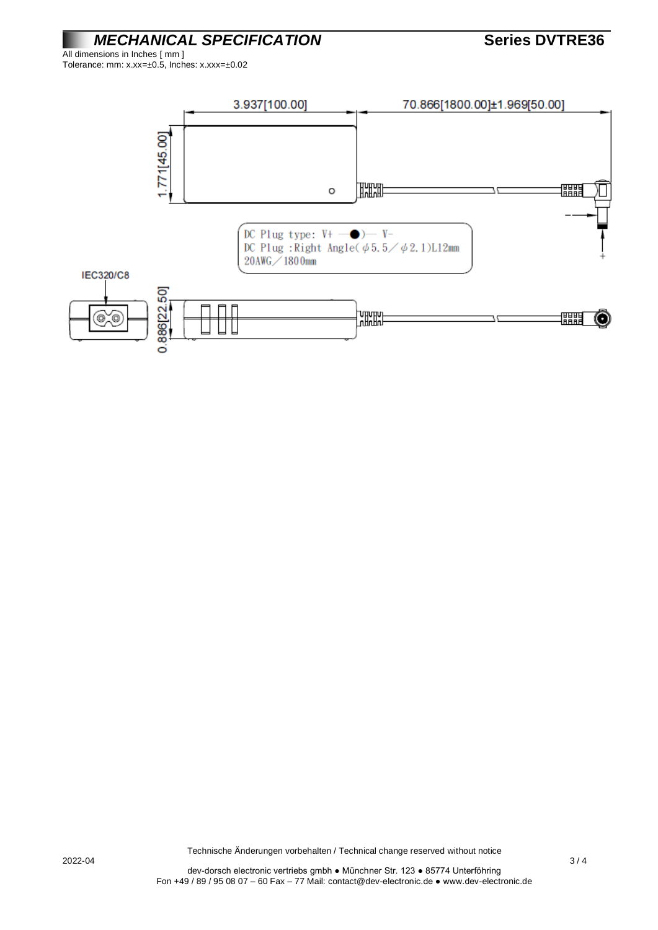*MECHANICAL SPECIFICATION* **Series DVTRE36**

All dimensions in Inches [ mm ] Tolerance: mm: x.xx=±0.5, Inches: x.xxx=±0.02



2022-04 3 / 4